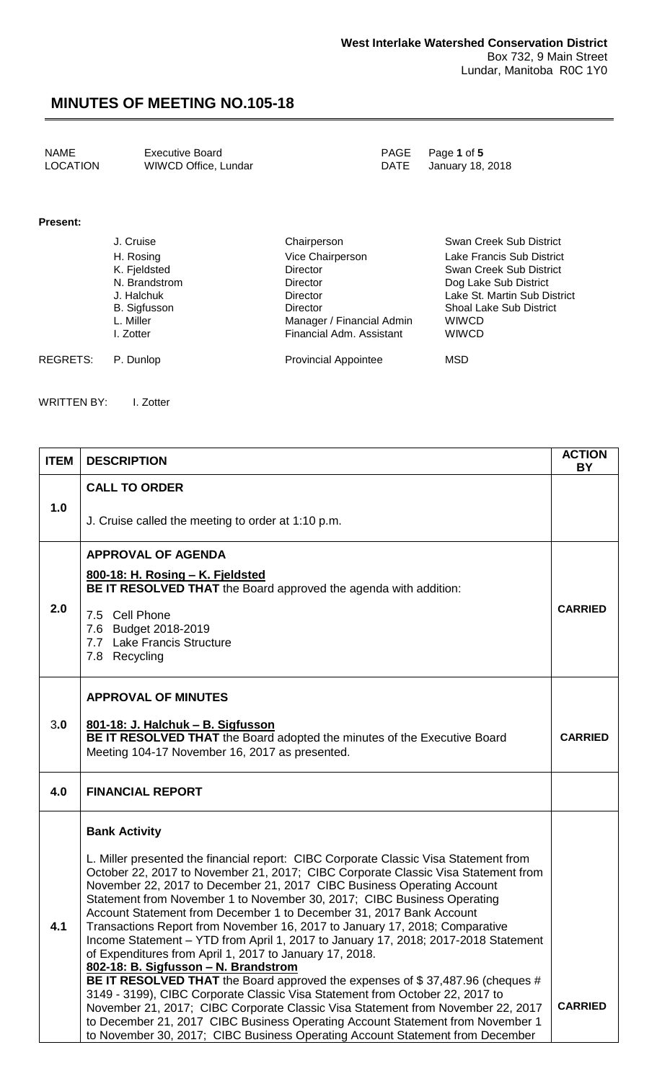| <b>NAME</b> | Executive Board      | PAGE Page 1 of 5      |
|-------------|----------------------|-----------------------|
| LOCATION    | WIWCD Office, Lundar | DATE January 18, 2018 |

#### **Present:**

| J. Cruise     | Chairperson                 | Swan Creek Sub District        |
|---------------|-----------------------------|--------------------------------|
| H. Rosing     | Vice Chairperson            | Lake Francis Sub District      |
| K. Fjeldsted  | Director                    | Swan Creek Sub District        |
| N. Brandstrom | <b>Director</b>             | Dog Lake Sub District          |
| J. Halchuk    | <b>Director</b>             | Lake St. Martin Sub District   |
| B. Sigfusson  | <b>Director</b>             | <b>Shoal Lake Sub District</b> |
| L. Miller     | Manager / Financial Admin   | <b>WIWCD</b>                   |
| I. Zotter     | Financial Adm. Assistant    | <b>WIWCD</b>                   |
| P. Dunlop     | <b>Provincial Appointee</b> | MSD                            |
|               |                             |                                |

WRITTEN BY: I. Zotter

| <b>ITEM</b> | <b>DESCRIPTION</b>                                                                                                                                                                                                                                                                                                                                                                                                                                                                                                                                                                                                                                                                                                                                                                                                                                                                                                                | <b>ACTION</b><br><b>BY</b> |
|-------------|-----------------------------------------------------------------------------------------------------------------------------------------------------------------------------------------------------------------------------------------------------------------------------------------------------------------------------------------------------------------------------------------------------------------------------------------------------------------------------------------------------------------------------------------------------------------------------------------------------------------------------------------------------------------------------------------------------------------------------------------------------------------------------------------------------------------------------------------------------------------------------------------------------------------------------------|----------------------------|
|             | <b>CALL TO ORDER</b>                                                                                                                                                                                                                                                                                                                                                                                                                                                                                                                                                                                                                                                                                                                                                                                                                                                                                                              |                            |
| 1.0         | J. Cruise called the meeting to order at 1:10 p.m.                                                                                                                                                                                                                                                                                                                                                                                                                                                                                                                                                                                                                                                                                                                                                                                                                                                                                |                            |
|             | <b>APPROVAL OF AGENDA</b>                                                                                                                                                                                                                                                                                                                                                                                                                                                                                                                                                                                                                                                                                                                                                                                                                                                                                                         |                            |
|             | 800-18: H. Rosing - K. Fjeldsted<br><b>BE IT RESOLVED THAT</b> the Board approved the agenda with addition:                                                                                                                                                                                                                                                                                                                                                                                                                                                                                                                                                                                                                                                                                                                                                                                                                       |                            |
| 2.0         | 7.5 Cell Phone<br>7.6 Budget 2018-2019<br>7.7 Lake Francis Structure<br>7.8 Recycling                                                                                                                                                                                                                                                                                                                                                                                                                                                                                                                                                                                                                                                                                                                                                                                                                                             | <b>CARRIED</b>             |
|             | <b>APPROVAL OF MINUTES</b>                                                                                                                                                                                                                                                                                                                                                                                                                                                                                                                                                                                                                                                                                                                                                                                                                                                                                                        |                            |
| 3.0         | 801-18: J. Halchuk - B. Sigfusson                                                                                                                                                                                                                                                                                                                                                                                                                                                                                                                                                                                                                                                                                                                                                                                                                                                                                                 |                            |
|             | BE IT RESOLVED THAT the Board adopted the minutes of the Executive Board<br>Meeting 104-17 November 16, 2017 as presented.                                                                                                                                                                                                                                                                                                                                                                                                                                                                                                                                                                                                                                                                                                                                                                                                        | <b>CARRIED</b>             |
| 4.0         | <b>FINANCIAL REPORT</b>                                                                                                                                                                                                                                                                                                                                                                                                                                                                                                                                                                                                                                                                                                                                                                                                                                                                                                           |                            |
|             | <b>Bank Activity</b>                                                                                                                                                                                                                                                                                                                                                                                                                                                                                                                                                                                                                                                                                                                                                                                                                                                                                                              |                            |
| 4.1         | L. Miller presented the financial report: CIBC Corporate Classic Visa Statement from<br>October 22, 2017 to November 21, 2017; CIBC Corporate Classic Visa Statement from<br>November 22, 2017 to December 21, 2017 CIBC Business Operating Account<br>Statement from November 1 to November 30, 2017; CIBC Business Operating<br>Account Statement from December 1 to December 31, 2017 Bank Account<br>Transactions Report from November 16, 2017 to January 17, 2018; Comparative<br>Income Statement - YTD from April 1, 2017 to January 17, 2018; 2017-2018 Statement<br>of Expenditures from April 1, 2017 to January 17, 2018.<br>802-18: B. Sigfusson - N. Brandstrom<br>BE IT RESOLVED THAT the Board approved the expenses of \$37,487.96 (cheques #<br>3149 - 3199), CIBC Corporate Classic Visa Statement from October 22, 2017 to<br>November 21, 2017; CIBC Corporate Classic Visa Statement from November 22, 2017 | <b>CARRIED</b>             |

to December 21, 2017 CIBC Business Operating Account Statement from November 1 to November 30, 2017; CIBC Business Operating Account Statement from December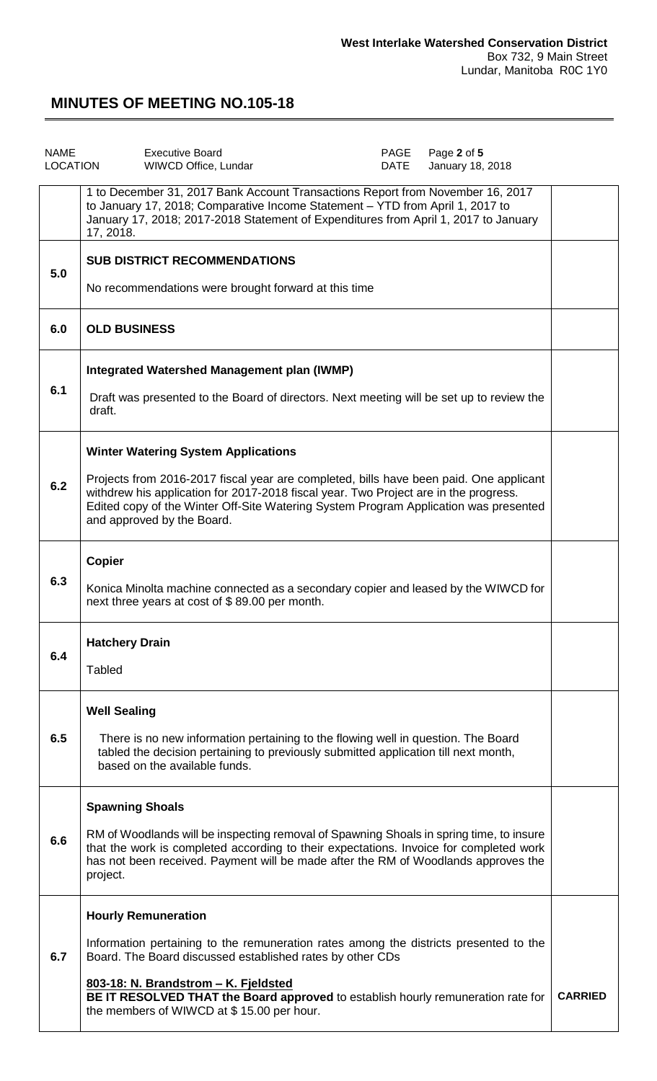| <b>NAME</b><br>LOCATION | <b>Executive Board</b><br>WIWCD Office, Lundar                                                                                                                                                                                                                                                                                                            | PAGE<br>DATE | Page 2 of 5<br>January 18, 2018 |                |
|-------------------------|-----------------------------------------------------------------------------------------------------------------------------------------------------------------------------------------------------------------------------------------------------------------------------------------------------------------------------------------------------------|--------------|---------------------------------|----------------|
|                         | 1 to December 31, 2017 Bank Account Transactions Report from November 16, 2017<br>to January 17, 2018; Comparative Income Statement - YTD from April 1, 2017 to<br>January 17, 2018; 2017-2018 Statement of Expenditures from April 1, 2017 to January<br>17, 2018.                                                                                       |              |                                 |                |
| 5.0                     | <b>SUB DISTRICT RECOMMENDATIONS</b><br>No recommendations were brought forward at this time                                                                                                                                                                                                                                                               |              |                                 |                |
| 6.0                     | <b>OLD BUSINESS</b>                                                                                                                                                                                                                                                                                                                                       |              |                                 |                |
| 6.1                     | Integrated Watershed Management plan (IWMP)<br>Draft was presented to the Board of directors. Next meeting will be set up to review the<br>draft.                                                                                                                                                                                                         |              |                                 |                |
| 6.2                     | <b>Winter Watering System Applications</b><br>Projects from 2016-2017 fiscal year are completed, bills have been paid. One applicant<br>withdrew his application for 2017-2018 fiscal year. Two Project are in the progress.<br>Edited copy of the Winter Off-Site Watering System Program Application was presented<br>and approved by the Board.        |              |                                 |                |
| 6.3                     | <b>Copier</b><br>Konica Minolta machine connected as a secondary copier and leased by the WIWCD for<br>next three years at cost of \$89.00 per month.                                                                                                                                                                                                     |              |                                 |                |
| 6.4                     | <b>Hatchery Drain</b><br>Tabled                                                                                                                                                                                                                                                                                                                           |              |                                 |                |
| 6.5                     | <b>Well Sealing</b><br>There is no new information pertaining to the flowing well in question. The Board<br>tabled the decision pertaining to previously submitted application till next month,<br>based on the available funds.                                                                                                                          |              |                                 |                |
| 6.6                     | <b>Spawning Shoals</b><br>RM of Woodlands will be inspecting removal of Spawning Shoals in spring time, to insure<br>that the work is completed according to their expectations. Invoice for completed work<br>has not been received. Payment will be made after the RM of Woodlands approves the<br>project.                                             |              |                                 |                |
| 6.7                     | <b>Hourly Remuneration</b><br>Information pertaining to the remuneration rates among the districts presented to the<br>Board. The Board discussed established rates by other CDs<br>803-18: N. Brandstrom - K. Fjeldsted<br>BE IT RESOLVED THAT the Board approved to establish hourly remuneration rate for<br>the members of WIWCD at \$15.00 per hour. |              |                                 | <b>CARRIED</b> |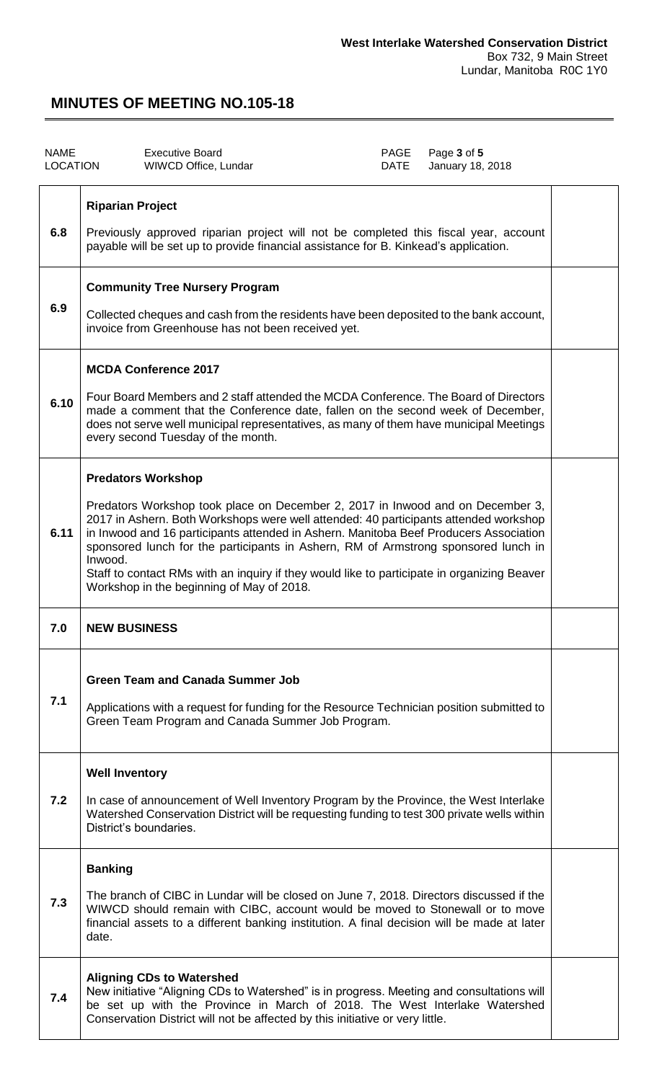| <b>NAME</b><br><b>LOCATION</b> |                         | <b>Executive Board</b><br>WIWCD Office, Lundar                                                                                                                                                                                                                                                                                                                                                                                                                                                                                 | PAGE<br>DATE | Page 3 of 5<br>January 18, 2018 |  |
|--------------------------------|-------------------------|--------------------------------------------------------------------------------------------------------------------------------------------------------------------------------------------------------------------------------------------------------------------------------------------------------------------------------------------------------------------------------------------------------------------------------------------------------------------------------------------------------------------------------|--------------|---------------------------------|--|
| 6.8                            | <b>Riparian Project</b> | Previously approved riparian project will not be completed this fiscal year, account<br>payable will be set up to provide financial assistance for B. Kinkead's application.                                                                                                                                                                                                                                                                                                                                                   |              |                                 |  |
| 6.9                            |                         | <b>Community Tree Nursery Program</b><br>Collected cheques and cash from the residents have been deposited to the bank account,<br>invoice from Greenhouse has not been received yet.                                                                                                                                                                                                                                                                                                                                          |              |                                 |  |
| 6.10                           |                         | <b>MCDA Conference 2017</b><br>Four Board Members and 2 staff attended the MCDA Conference. The Board of Directors<br>made a comment that the Conference date, fallen on the second week of December,<br>does not serve well municipal representatives, as many of them have municipal Meetings<br>every second Tuesday of the month.                                                                                                                                                                                          |              |                                 |  |
| 6.11                           | Inwood.                 | <b>Predators Workshop</b><br>Predators Workshop took place on December 2, 2017 in Inwood and on December 3,<br>2017 in Ashern. Both Workshops were well attended: 40 participants attended workshop<br>in Inwood and 16 participants attended in Ashern. Manitoba Beef Producers Association<br>sponsored lunch for the participants in Ashern, RM of Armstrong sponsored lunch in<br>Staff to contact RMs with an inquiry if they would like to participate in organizing Beaver<br>Workshop in the beginning of May of 2018. |              |                                 |  |
| 7.0                            | <b>NEW BUSINESS</b>     |                                                                                                                                                                                                                                                                                                                                                                                                                                                                                                                                |              |                                 |  |
| 7.1                            |                         | <b>Green Team and Canada Summer Job</b><br>Applications with a request for funding for the Resource Technician position submitted to<br>Green Team Program and Canada Summer Job Program.                                                                                                                                                                                                                                                                                                                                      |              |                                 |  |
| 7.2                            | <b>Well Inventory</b>   | In case of announcement of Well Inventory Program by the Province, the West Interlake<br>Watershed Conservation District will be requesting funding to test 300 private wells within<br>District's boundaries.                                                                                                                                                                                                                                                                                                                 |              |                                 |  |
| 7.3                            | <b>Banking</b><br>date. | The branch of CIBC in Lundar will be closed on June 7, 2018. Directors discussed if the<br>WIWCD should remain with CIBC, account would be moved to Stonewall or to move<br>financial assets to a different banking institution. A final decision will be made at later                                                                                                                                                                                                                                                        |              |                                 |  |
| 7.4                            |                         | <b>Aligning CDs to Watershed</b><br>New initiative "Aligning CDs to Watershed" is in progress. Meeting and consultations will<br>be set up with the Province in March of 2018. The West Interlake Watershed<br>Conservation District will not be affected by this initiative or very little.                                                                                                                                                                                                                                   |              |                                 |  |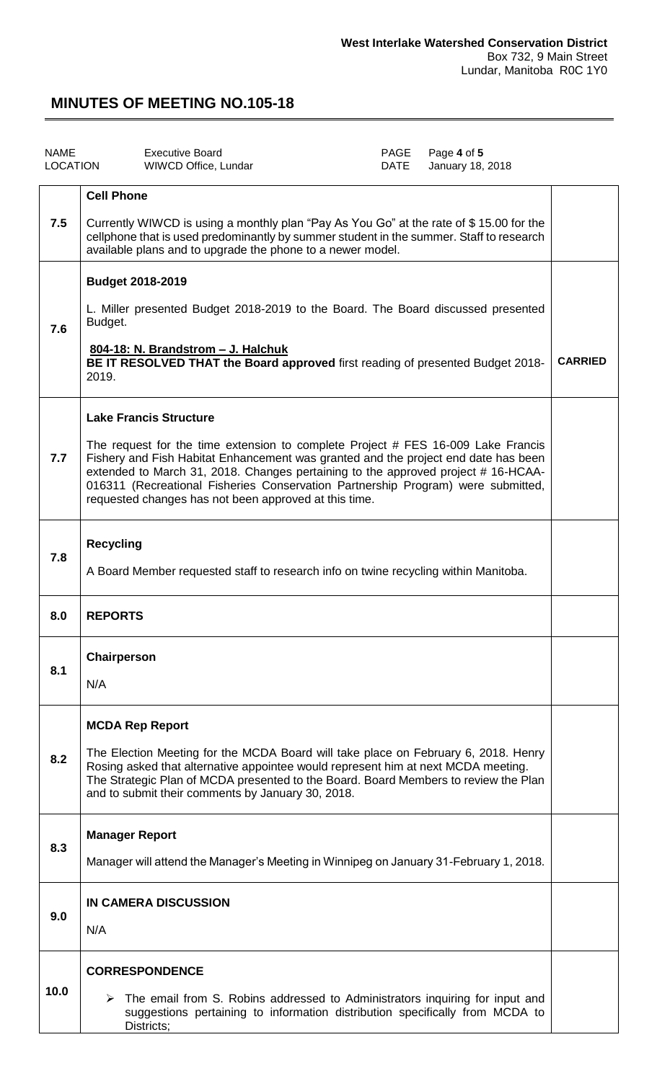| <b>NAME</b><br><b>LOCATION</b> | <b>Executive Board</b><br>WIWCD Office, Lundar                                                                                                                                                                                                                                                                                                                                                                                           | PAGE<br><b>DATE</b> | Page 4 of 5<br>January 18, 2018 |                |
|--------------------------------|------------------------------------------------------------------------------------------------------------------------------------------------------------------------------------------------------------------------------------------------------------------------------------------------------------------------------------------------------------------------------------------------------------------------------------------|---------------------|---------------------------------|----------------|
| 7.5                            | <b>Cell Phone</b><br>Currently WIWCD is using a monthly plan "Pay As You Go" at the rate of \$15.00 for the<br>cellphone that is used predominantly by summer student in the summer. Staff to research<br>available plans and to upgrade the phone to a newer model.                                                                                                                                                                     |                     |                                 |                |
| 7.6                            | <b>Budget 2018-2019</b><br>L. Miller presented Budget 2018-2019 to the Board. The Board discussed presented<br>Budget.<br>804-18: N. Brandstrom - J. Halchuk<br>BE IT RESOLVED THAT the Board approved first reading of presented Budget 2018-<br>2019.                                                                                                                                                                                  |                     |                                 | <b>CARRIED</b> |
| 7.7                            | <b>Lake Francis Structure</b><br>The request for the time extension to complete Project # FES 16-009 Lake Francis<br>Fishery and Fish Habitat Enhancement was granted and the project end date has been<br>extended to March 31, 2018. Changes pertaining to the approved project #16-HCAA-<br>016311 (Recreational Fisheries Conservation Partnership Program) were submitted,<br>requested changes has not been approved at this time. |                     |                                 |                |
| 7.8                            | <b>Recycling</b><br>A Board Member requested staff to research info on twine recycling within Manitoba.                                                                                                                                                                                                                                                                                                                                  |                     |                                 |                |
| 8.0                            | <b>REPORTS</b>                                                                                                                                                                                                                                                                                                                                                                                                                           |                     |                                 |                |
| 8.1                            | Chairperson<br>N/A                                                                                                                                                                                                                                                                                                                                                                                                                       |                     |                                 |                |
| 8.2                            | <b>MCDA Rep Report</b><br>The Election Meeting for the MCDA Board will take place on February 6, 2018. Henry<br>Rosing asked that alternative appointee would represent him at next MCDA meeting.<br>The Strategic Plan of MCDA presented to the Board. Board Members to review the Plan<br>and to submit their comments by January 30, 2018.                                                                                            |                     |                                 |                |
| 8.3                            | <b>Manager Report</b><br>Manager will attend the Manager's Meeting in Winnipeg on January 31-February 1, 2018.                                                                                                                                                                                                                                                                                                                           |                     |                                 |                |
| 9.0                            | IN CAMERA DISCUSSION<br>N/A                                                                                                                                                                                                                                                                                                                                                                                                              |                     |                                 |                |
| 10.0                           | <b>CORRESPONDENCE</b><br>$\triangleright$ The email from S. Robins addressed to Administrators inquiring for input and<br>suggestions pertaining to information distribution specifically from MCDA to<br>Districts;                                                                                                                                                                                                                     |                     |                                 |                |